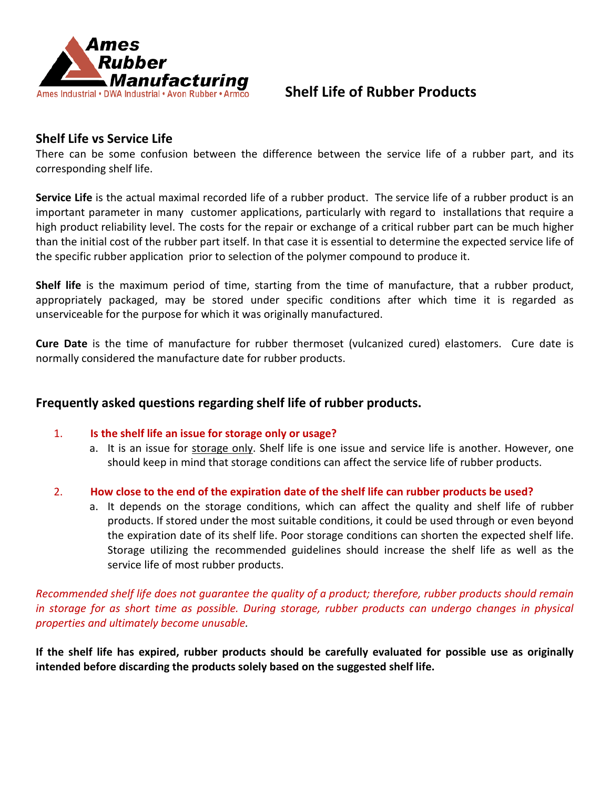

# **Shelf Life of Rubber Products**

## **Shelf Life vs Service Life**

There can be some confusion between the difference between the service life of a rubber part, and its corresponding shelf life.

**Service Life** is the actual maximal recorded life of a rubber product. The service life of a rubber product is an important parameter in many customer applications, particularly with regard to installations that require a high product reliability level. The costs for the repair or exchange of a critical rubber part can be much higher than the initial cost of the rubber part itself. In that case it is essential to determine the expected service life of the specific rubber application prior to selection of the polymer compound to produce it.

**Shelf life** is the maximum period of time, starting from the time of manufacture, that a rubber product, appropriately packaged, may be stored under specific conditions after which time it is regarded as unserviceable for the purpose for which it was originally manufactured.

**Cure Date** is the time of manufacture for rubber thermoset (vulcanized cured) elastomers. Cure date is normally considered the manufacture date for rubber products.

#### **Frequently asked questions regarding shelf life of rubber products.**

- 1. **Is the shelf life an issue for storage only or usage?**
	- a. It is an issue for storage only. Shelf life is one issue and service life is another. However, one should keep in mind that storage conditions can affect the service life of rubber products.
- 2. **How close to the end of the expiration date of the shelf life can rubber products be used?**
	- a. It depends on the storage conditions, which can affect the quality and shelf life of rubber products. If stored under the most suitable conditions, it could be used through or even beyond the expiration date of its shelf life. Poor storage conditions can shorten the expected shelf life. Storage utilizing the recommended guidelines should increase the shelf life as well as the service life of most rubber products.

*Recommended shelf life does not guarantee the quality of a product; therefore, rubber products should remain in storage for as short time as possible. During storage, rubber products can undergo changes in physical properties and ultimately become unusable.*

**If the shelf life has expired, rubber products should be carefully evaluated for possible use as originally intended before discarding the products solely based on the suggested shelf life.**